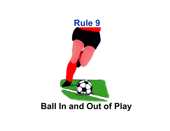

# **Ball In and Out of Play**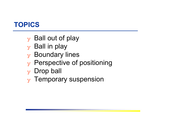## **TOPICS**

- $\mathbf y$  Ball out of play
- $\mathbf y$  Ball in play
- $\mathbf y$  Boundary lines
- $_{\rm y}$  Perspective of positioning
- $_Y$  Drop ball
- ❖ Temporary suspension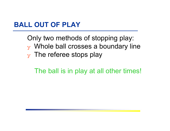#### **BALL OUT OF PLAY**

Only two methods of stopping play:  $\mathbf y$  Whole ball crosses a boundary line  $\mathbf y$  The referee stops play

The ball is in play at all other times!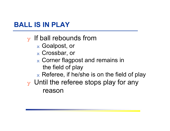## **BALL IS IN PLAY**

- $\mathbf y$  If ball rebounds from
	- $\mathrm{_{\mathrm{x}}}$  Goalpost, or
	- $_\mathrm{\text{x}}$  Crossbar, or
	- $_\mathrm{\text{x}}$  Corner flagpost and remains in the field of play
	- $\rm{_{x}}$  Referee, if he/she is on the field of play
- $\mathbf y$  Until the referee stops play for any reason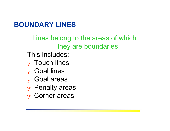## **BOUNDARY LINES**

Lines belong to the areas of which they are boundaries

This includes:

- $_{\rm y}$  Touch lines
- $_{\rm y}$  Goal lines
- ❖ Goal areas
- ❖ Penalty areas
- ❖ Corner areas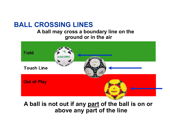#### **BALL CROSSING LINES**

#### **A ball may cross a boundary line on the ground or in the air**



#### **A ball is not out if any part of the ball is on or above any part of the line**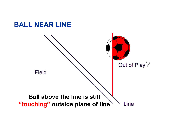#### **BALL NEAR LINE**

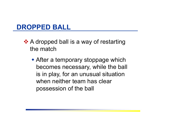#### **DROPPED BALL**

- ❖ A dropped ball is a way of restarting the match
	- After a temporary stoppage which becomes necessary, while the ball is in play, for an unusual situation when neither team has clear possession of the ball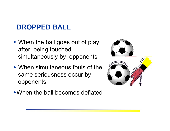## **DROPPED BALL**

- When the ball goes out of play after being touched simultaneously by opponents
- When simultaneous fouls of the same seriousness occur by opponents
- 
- When the ball becomes deflated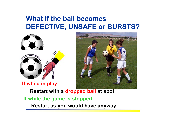#### **What if the ball becomes DEFECTIVE, UNSAFE or BURSTS?**





**If while in play**

**Restart with a dropped ball at spot** 

#### **If while the game is stopped**

**Restart as you would have anyway**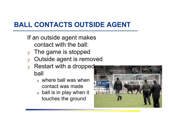## **BALL CONTACTS OUTSIDE AGENT**

- If an outside agent makes contact with the ball:
- $\mathbf y$  The game is stopped
- ❖ Outside agent is removed
- $\mathbf y$  Restart with a dropped ball
	- $_\mathrm{x}\,$  where ball was when  $\,$ contact was made
	- $\mathrm{_{x}}\,$  ball is in play when it touches the ground

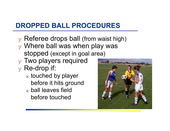## **DROPPED BALL PROCEDURES**

- $\overline{y}$  Referee drops ball (from waist high)
- $\mathbf y$  Where ball was when play was stopped (except in goal area)
- $\mathbf y$  Two players required
- $_{\rm y}$  Re-drop if:
	- $\mathrm{\mathbf{x}}$  touched by player before it hits ground  $_\mathrm{\text{x}}$  ball leaves field
		- before touched

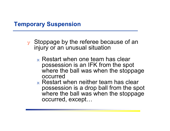#### **Temporary Suspension**

- $\mathbf y$  Stoppage by the referee because of an injury or an unusual situation
	- $_\mathrm{\textnormal{x}}$  Restart when one team has clear possession is an IFK from the spot where the ball was when the stoppage occurred
	- $_\mathrm{\textnormal{x}}$  Restart when neither team has clear possession is a drop ball from the spot where the ball was when the stoppage occurred, except…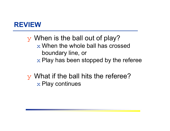#### **REVIEW**

❖ When is the ball out of play?  $\mathrm{\mathbf{x}}$  When the whole ball has crossed  $\mathrm{\mathbf{x}}$ boundary line, or  $\mathrm{\mathbf{x}}$  Play has been stopped by the referee

❖ What if the ball hits the referee?  $\mathrm{\mathbf{x}}$  Play continues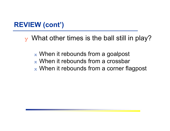### **REVIEW (cont')**

 $\overline{y}$  What other times is the ball still in play?

- $_\mathrm{\text{x}}$  When it rebounds from a goalpost
- $_\mathrm{\text{x}}$  When it rebounds from a crossbar
- $_\mathrm{\text{x}}$  When it rebounds from a corner flagpost